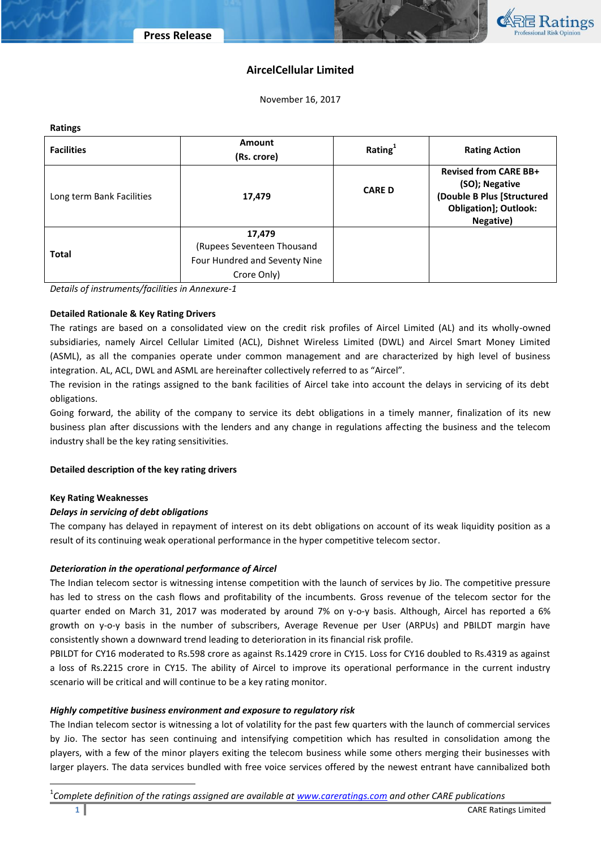

# **AircelCellular Limited**

November 16, 2017

| <b>Ratings</b>            |                                                                                      |               |                                                                                                                           |  |  |
|---------------------------|--------------------------------------------------------------------------------------|---------------|---------------------------------------------------------------------------------------------------------------------------|--|--|
| <b>Facilities</b>         | Amount                                                                               | Rating $1$    | <b>Rating Action</b>                                                                                                      |  |  |
|                           | (Rs. crore)                                                                          |               |                                                                                                                           |  |  |
| Long term Bank Facilities | 17,479                                                                               | <b>CARE D</b> | <b>Revised from CARE BB+</b><br>(SO); Negative<br>(Double B Plus [Structured<br><b>Obligation]; Outlook:</b><br>Negative) |  |  |
| <b>Total</b>              | 17,479<br>(Rupees Seventeen Thousand<br>Four Hundred and Seventy Nine<br>Crore Only) |               |                                                                                                                           |  |  |

*Details of instruments/facilities in Annexure-1*

## **Detailed Rationale & Key Rating Drivers**

The ratings are based on a consolidated view on the credit risk profiles of Aircel Limited (AL) and its wholly-owned subsidiaries, namely Aircel Cellular Limited (ACL), Dishnet Wireless Limited (DWL) and Aircel Smart Money Limited (ASML), as all the companies operate under common management and are characterized by high level of business integration. AL, ACL, DWL and ASML are hereinafter collectively referred to as "Aircel".

The revision in the ratings assigned to the bank facilities of Aircel take into account the delays in servicing of its debt obligations.

Going forward, the ability of the company to service its debt obligations in a timely manner, finalization of its new business plan after discussions with the lenders and any change in regulations affecting the business and the telecom industry shall be the key rating sensitivities.

## **Detailed description of the key rating drivers**

## **Key Rating Weaknesses**

l

# *Delays in servicing of debt obligations*

The company has delayed in repayment of interest on its debt obligations on account of its weak liquidity position as a result of its continuing weak operational performance in the hyper competitive telecom sector.

## *Deterioration in the operational performance of Aircel*

The Indian telecom sector is witnessing intense competition with the launch of services by Jio. The competitive pressure has led to stress on the cash flows and profitability of the incumbents. Gross revenue of the telecom sector for the quarter ended on March 31, 2017 was moderated by around 7% on y-o-y basis. Although, Aircel has reported a 6% growth on y-o-y basis in the number of subscribers, Average Revenue per User (ARPUs) and PBILDT margin have consistently shown a downward trend leading to deterioration in its financial risk profile.

PBILDT for CY16 moderated to Rs.598 crore as against Rs.1429 crore in CY15. Loss for CY16 doubled to Rs.4319 as against a loss of Rs.2215 crore in CY15. The ability of Aircel to improve its operational performance in the current industry scenario will be critical and will continue to be a key rating monitor.

## *Highly competitive business environment and exposure to regulatory risk*

The Indian telecom sector is witnessing a lot of volatility for the past few quarters with the launch of commercial services by Jio. The sector has seen continuing and intensifying competition which has resulted in consolidation among the players, with a few of the minor players exiting the telecom business while some others merging their businesses with larger players. The data services bundled with free voice services offered by the newest entrant have cannibalized both

1 *Complete definition of the ratings assigned are available at [www.careratings.com](http://www.careratings.com/) and other CARE publications*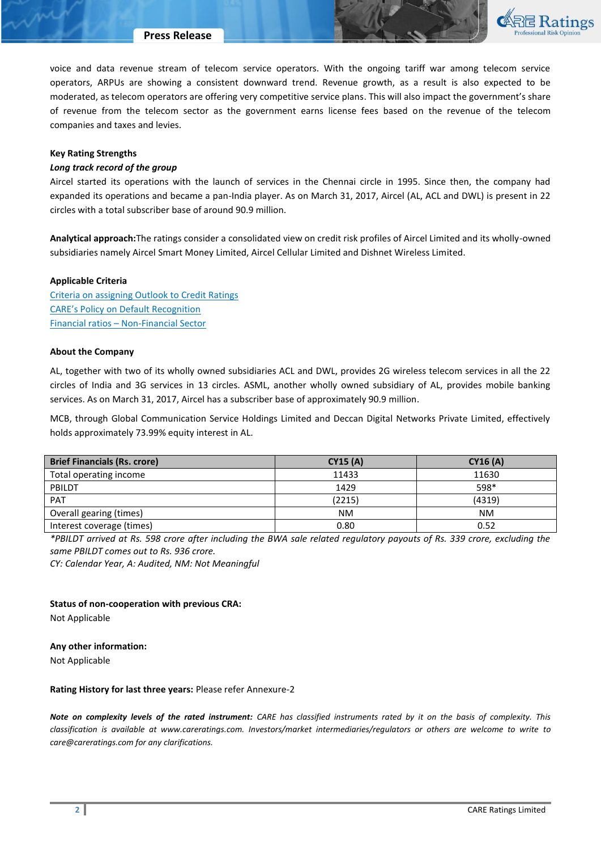

voice and data revenue stream of telecom service operators. With the ongoing tariff war among telecom service operators, ARPUs are showing a consistent downward trend. Revenue growth, as a result is also expected to be moderated, as telecom operators are offering very competitive service plans. This will also impact the government's share of revenue from the telecom sector as the government earns license fees based on the revenue of the telecom companies and taxes and levies.

## **Key Rating Strengths**

## *Long track record of the group*

Aircel started its operations with the launch of services in the Chennai circle in 1995. Since then, the company had expanded its operations and became a pan-India player. As on March 31, 2017, Aircel (AL, ACL and DWL) is present in 22 circles with a total subscriber base of around 90.9 million.

**Analytical approach:**The ratings consider a consolidated view on credit risk profiles of Aircel Limited and its wholly-owned subsidiaries namely Aircel Smart Money Limited, Aircel Cellular Limited and Dishnet Wireless Limited.

## **Applicable Criteria**

[Criteria on assigning Outlook to Credit Ratings](http://www.careratings.com/upload/NewsFiles/GetRated/Outlook%20Criteria.pdf) [CARE's Policy on Default Recognition](http://www.careratings.com/pdf/resources/CAREPolicyonDefaultRecognition.pdf) Financial ratios – [Non-Financial Sector](http://www.careratings.com/pdf/resources/FinancialratiosNonFinancialSector.pdf)

## **About the Company**

AL, together with two of its wholly owned subsidiaries ACL and DWL, provides 2G wireless telecom services in all the 22 circles of India and 3G services in 13 circles. ASML, another wholly owned subsidiary of AL, provides mobile banking services. As on March 31, 2017, Aircel has a subscriber base of approximately 90.9 million.

MCB, through Global Communication Service Holdings Limited and Deccan Digital Networks Private Limited, effectively holds approximately 73.99% equity interest in AL.

| <b>Brief Financials (Rs. crore)</b> | <b>CY15 (A)</b> | CY16(A)   |
|-------------------------------------|-----------------|-----------|
| Total operating income              | 11433           | 11630     |
| PBILDT                              | 1429            | 598*      |
| PAT                                 | (2215)          | (4319)    |
| Overall gearing (times)             | NΜ              | <b>NM</b> |
| Interest coverage (times)           | 0.80            | 0.52      |

*\*PBILDT arrived at Rs. 598 crore after including the BWA sale related regulatory payouts of Rs. 339 crore, excluding the same PBILDT comes out to Rs. 936 crore.* 

*CY: Calendar Year, A: Audited, NM: Not Meaningful*

**Status of non-cooperation with previous CRA:** 

Not Applicable

## **Any other information:**

Not Applicable

## **Rating History for last three years:** Please refer Annexure-2

*Note on complexity levels of the rated instrument: CARE has classified instruments rated by it on the basis of complexity. This classification is available at www.careratings.com. Investors/market intermediaries/regulators or others are welcome to write to care@careratings.com for any clarifications.*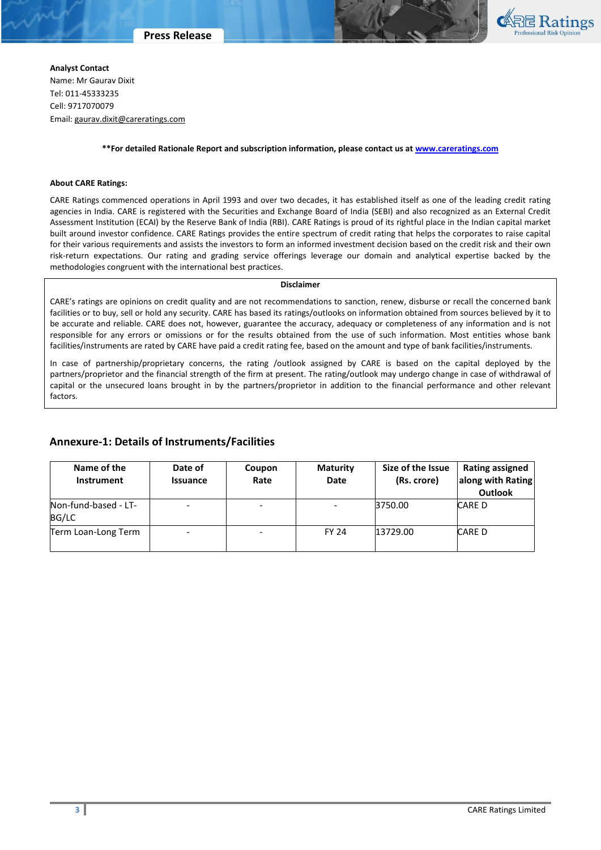

**Analyst Contact** Name: Mr Gaurav Dixit Tel: 011-45333235 Cell: 9717070079 Email: [gaurav.dixit@careratings.com](mailto:gaurav.dixit@careratings.com)

#### **\*\*For detailed Rationale Report and subscription information, please contact us a[t www.careratings.com](http://www.careratings.com/)**

#### **About CARE Ratings:**

CARE Ratings commenced operations in April 1993 and over two decades, it has established itself as one of the leading credit rating agencies in India. CARE is registered with the Securities and Exchange Board of India (SEBI) and also recognized as an External Credit Assessment Institution (ECAI) by the Reserve Bank of India (RBI). CARE Ratings is proud of its rightful place in the Indian capital market built around investor confidence. CARE Ratings provides the entire spectrum of credit rating that helps the corporates to raise capital for their various requirements and assists the investors to form an informed investment decision based on the credit risk and their own risk-return expectations. Our rating and grading service offerings leverage our domain and analytical expertise backed by the methodologies congruent with the international best practices.

#### **Disclaimer**

CARE's ratings are opinions on credit quality and are not recommendations to sanction, renew, disburse or recall the concerned bank facilities or to buy, sell or hold any security. CARE has based its ratings/outlooks on information obtained from sources believed by it to be accurate and reliable. CARE does not, however, guarantee the accuracy, adequacy or completeness of any information and is not responsible for any errors or omissions or for the results obtained from the use of such information. Most entities whose bank facilities/instruments are rated by CARE have paid a credit rating fee, based on the amount and type of bank facilities/instruments.

In case of partnership/proprietary concerns, the rating /outlook assigned by CARE is based on the capital deployed by the partners/proprietor and the financial strength of the firm at present. The rating/outlook may undergo change in case of withdrawal of capital or the unsecured loans brought in by the partners/proprietor in addition to the financial performance and other relevant factors.

# **Annexure-1: Details of Instruments/Facilities**

| Name of the<br><b>Instrument</b> | Date of<br><b>Issuance</b> | Coupon<br>Rate           | <b>Maturity</b><br>Date | Size of the Issue<br>(Rs. crore) | <b>Rating assigned</b><br>along with Rating<br><b>Outlook</b> |
|----------------------------------|----------------------------|--------------------------|-------------------------|----------------------------------|---------------------------------------------------------------|
| Non-fund-based - LT-<br>BG/LC    | ۰                          | $\overline{\phantom{a}}$ |                         | 3750.00                          | <b>CARE D</b>                                                 |
| Term Loan-Long Term              | -                          | $\overline{\phantom{a}}$ | <b>FY 24</b>            | 13729.00                         | CARE D                                                        |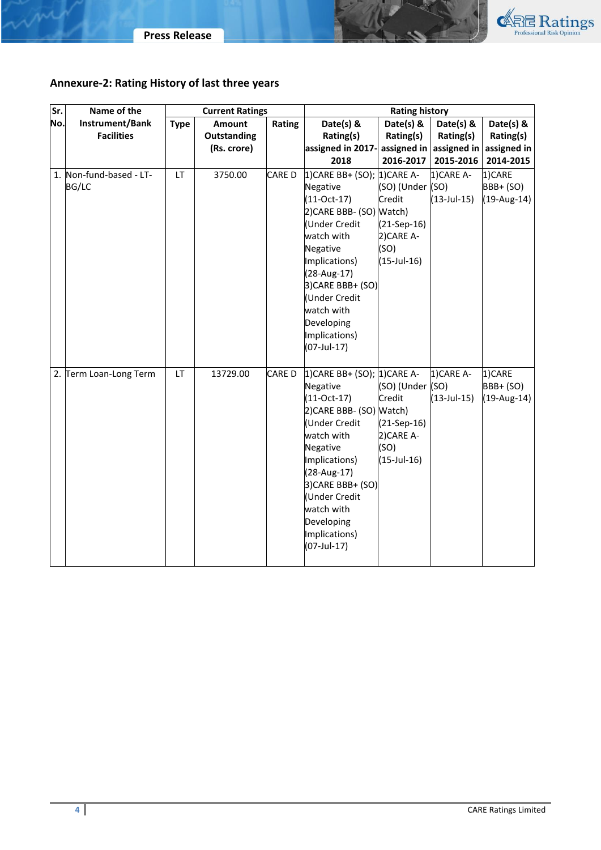



# **Annexure-2: Rating History of last three years**

| Sr. | Name of the             | <b>Current Ratings</b> |               | <b>Rating history</b> |                                   |                           |                   |               |
|-----|-------------------------|------------------------|---------------|-----------------------|-----------------------------------|---------------------------|-------------------|---------------|
| No. | Instrument/Bank         | <b>Type</b>            | <b>Amount</b> | Rating                | Date(s) &                         | Date(s) &                 | Date(s) &         | Date(s) &     |
|     | <b>Facilities</b>       |                        | Outstanding   |                       | Rating(s)                         | Rating(s)                 | Rating(s)         | Rating(s)     |
|     |                         |                        | (Rs. crore)   |                       | assigned in 2017-                 | assigned in               | assigned in       | assigned in   |
|     |                         |                        |               |                       | 2018                              | 2016-2017                 | 2015-2016         | 2014-2015     |
|     | 1. Non-fund-based - LT- | LT.                    | 3750.00       | CARE D                | 1) CARE BB+ (SO); 1) CARE A-      |                           | 1)CARE A-         | 1)CARE        |
|     | <b>BG/LC</b>            |                        |               |                       | Negative                          | (SO) (Under (SO)          |                   | BBB+ (SO)     |
|     |                         |                        |               |                       | $(11-Oct-17)$                     | Credit                    | $(13 - Jul - 15)$ | $(19-Aug-14)$ |
|     |                         |                        |               |                       | 2) CARE BBB- (SO) Watch)          |                           |                   |               |
|     |                         |                        |               |                       | Under Credit                      | $(21-Sep-16)$             |                   |               |
|     |                         |                        |               |                       | watch with                        | 2) CARE A-                |                   |               |
|     |                         |                        |               |                       | Negative<br>Implications)         | (SO)<br>$(15 - Jul - 16)$ |                   |               |
|     |                         |                        |               |                       | (28-Aug-17)                       |                           |                   |               |
|     |                         |                        |               |                       | 3) CARE BBB+ (SO)                 |                           |                   |               |
|     |                         |                        |               |                       | Under Credit                      |                           |                   |               |
|     |                         |                        |               |                       | watch with                        |                           |                   |               |
|     |                         |                        |               |                       | Developing                        |                           |                   |               |
|     |                         |                        |               |                       | Implications)                     |                           |                   |               |
|     |                         |                        |               |                       | $(07$ -Jul-17)                    |                           |                   |               |
|     |                         |                        |               |                       |                                   |                           |                   |               |
|     | 2. Term Loan-Long Term  | LT.                    | 13729.00      | <b>CARED</b>          | 1) CARE BB+ (SO); 1) CARE A-      |                           | 1)CARE A-         | 1)CARE        |
|     |                         |                        |               |                       | Negative                          | (SO) (Under (SO)          |                   | BBB+ (SO)     |
|     |                         |                        |               |                       | $(11-Oct-17)$                     | Credit                    | $(13 - Jul - 15)$ | $(19-Aug-14)$ |
|     |                         |                        |               |                       | 2)CARE BBB- (SO) Watch)           |                           |                   |               |
|     |                         |                        |               |                       | Under Credit                      | $(21-Sep-16)$             |                   |               |
|     |                         |                        |               |                       | watch with                        | 2) CARE A-                |                   |               |
|     |                         |                        |               |                       | Negative                          | (SO)                      |                   |               |
|     |                         |                        |               |                       | Implications)                     | $(15 - Jul - 16)$         |                   |               |
|     |                         |                        |               |                       | (28-Aug-17)                       |                           |                   |               |
|     |                         |                        |               |                       | 3) CARE BBB+ (SO)<br>Under Credit |                           |                   |               |
|     |                         |                        |               |                       | watch with                        |                           |                   |               |
|     |                         |                        |               |                       | Developing                        |                           |                   |               |
|     |                         |                        |               |                       | Implications)                     |                           |                   |               |
|     |                         |                        |               |                       | $(07$ -Jul-17)                    |                           |                   |               |
|     |                         |                        |               |                       |                                   |                           |                   |               |